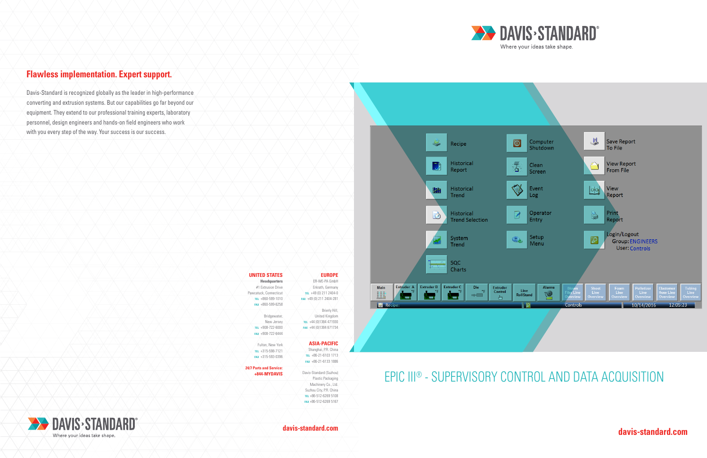# EPIC III® - SUPERVISORY CONTROL AND DATA ACQUISITION



**davis-standard.com davis-standard.com**



## **Flawless implementation. Expert support.**

Davis-Standard is recognized globally as the leader in high-performance converting and extrusion systems. But our capabilities go far beyond our equipment. They extend to our professional training experts, laboratory personnel, design engineers and hands-on field engineers who work with you every step of the way. Your success is our success.



| <b>EUROPE</b>            | <b>UNITED STATES</b>           |
|--------------------------|--------------------------------|
| FR-WF-PA GmbH            | <b>Headquarters</b>            |
| Erkrath, Germany         | #1 Extrusion Drive             |
| TEL +49 (0) 211 2404-0   | Pawcatuck, Connecticut         |
| FAX +49 (0) 211 2404-281 | TEL +860-599-1010              |
|                          | FAX +860-599-6258              |
| Brierly Hill,            |                                |
| United Kingdom           | Bridgewater,                   |
| TEL +44 (0)1384 471930   | New Jersey                     |
| FAX +44 (0)1384 671734   | TEL +908-722-6000              |
|                          | FAX +908-722-6444              |
| <b>ASIA-PACIFIC</b>      | Fulton, New York               |
| Shanghai, P.R. China     | TEL +315-598-7121              |
| TEL +86-21-6103 1713     | FAX +315-593-0396              |
| FAX +86-21-6133 1886     |                                |
|                          | <b>24/7 Parts and Service:</b> |
| Davis-Standard (Suzhou)  | +844-MYDAVIS                   |
| Plastic Packaging        |                                |
| Machinery Co., Ltd.      |                                |
| Suzhou City, P.R. China  |                                |
| TEL +86-512-6269 5108    |                                |
| FAX +86-512-6269 5167    |                                |